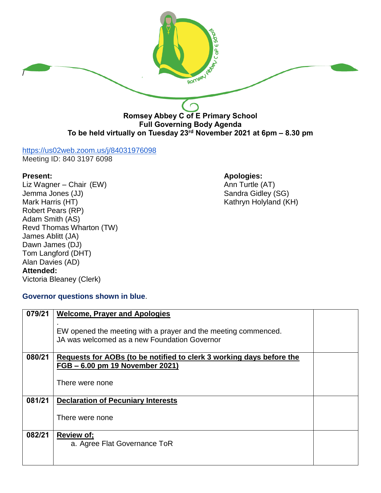

# <https://us02web.zoom.us/j/84031976098>

Meeting ID: 840 3197 6098

Liz Wagner – Chair (EW) and Contact the Contact Ann Turtle (AT) Jemma Jones (JJ) Sandra Gidley (SG) Mark Harris (HT) Mark Harris (HT) Mark Harris (HT) Robert Pears (RP) Adam Smith (AS) Revd Thomas Wharton (TW) James Ablitt (JA) Dawn James (DJ) Tom Langford (DHT) Alan Davies (AD) **Attended:** Victoria Bleaney (Clerk)

### **Present: Apologies:**

## **Governor questions shown in blue**.

| 079/21 | <b>Welcome, Prayer and Apologies</b>                                                                           |  |
|--------|----------------------------------------------------------------------------------------------------------------|--|
|        | EW opened the meeting with a prayer and the meeting commenced.<br>JA was welcomed as a new Foundation Governor |  |
| 080/21 | Requests for AOBs (to be notified to clerk 3 working days before the                                           |  |
|        | FGB - 6.00 pm 19 November 2021)                                                                                |  |
|        | There were none                                                                                                |  |
|        |                                                                                                                |  |
| 081/21 | <b>Declaration of Pecuniary Interests</b>                                                                      |  |
|        | There were none                                                                                                |  |
|        |                                                                                                                |  |
| 082/21 | <b>Review of;</b>                                                                                              |  |
|        | a. Agree Flat Governance ToR                                                                                   |  |
|        |                                                                                                                |  |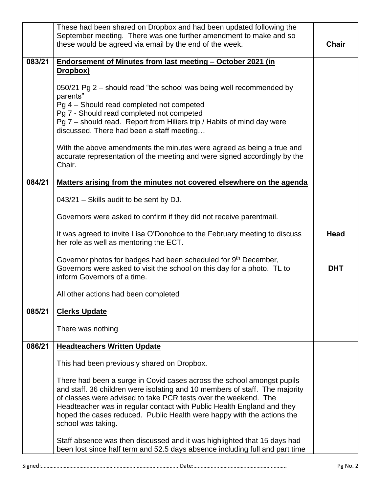|        | These had been shared on Dropbox and had been updated following the<br>September meeting. There was one further amendment to make and so                                                                                                                                                                                                                                                           |              |
|--------|----------------------------------------------------------------------------------------------------------------------------------------------------------------------------------------------------------------------------------------------------------------------------------------------------------------------------------------------------------------------------------------------------|--------------|
|        | these would be agreed via email by the end of the week.                                                                                                                                                                                                                                                                                                                                            | <b>Chair</b> |
| 083/21 |                                                                                                                                                                                                                                                                                                                                                                                                    |              |
|        | Endorsement of Minutes from last meeting - October 2021 (in<br>Dropbox)                                                                                                                                                                                                                                                                                                                            |              |
|        | 050/21 Pg 2 – should read "the school was being well recommended by                                                                                                                                                                                                                                                                                                                                |              |
|        | parents"<br>Pg 4 - Should read completed not competed                                                                                                                                                                                                                                                                                                                                              |              |
|        | Pg 7 - Should read completed not competed                                                                                                                                                                                                                                                                                                                                                          |              |
|        | Pg 7 - should read. Report from Hiliers trip / Habits of mind day were<br>discussed. There had been a staff meeting                                                                                                                                                                                                                                                                                |              |
|        | With the above amendments the minutes were agreed as being a true and<br>accurate representation of the meeting and were signed accordingly by the<br>Chair.                                                                                                                                                                                                                                       |              |
| 084/21 | Matters arising from the minutes not covered elsewhere on the agenda                                                                                                                                                                                                                                                                                                                               |              |
|        |                                                                                                                                                                                                                                                                                                                                                                                                    |              |
|        | 043/21 – Skills audit to be sent by DJ.                                                                                                                                                                                                                                                                                                                                                            |              |
|        | Governors were asked to confirm if they did not receive parentmail.                                                                                                                                                                                                                                                                                                                                |              |
|        | It was agreed to invite Lisa O'Donohoe to the February meeting to discuss<br>her role as well as mentoring the ECT.                                                                                                                                                                                                                                                                                | <b>Head</b>  |
|        | Governor photos for badges had been scheduled for 9 <sup>th</sup> December,<br>Governors were asked to visit the school on this day for a photo. TL to<br>inform Governors of a time.                                                                                                                                                                                                              | <b>DHT</b>   |
|        | All other actions had been completed                                                                                                                                                                                                                                                                                                                                                               |              |
| 085/21 | <b>Clerks Update</b>                                                                                                                                                                                                                                                                                                                                                                               |              |
|        | There was nothing                                                                                                                                                                                                                                                                                                                                                                                  |              |
| 086/21 | <b>Headteachers Written Update</b>                                                                                                                                                                                                                                                                                                                                                                 |              |
|        | This had been previously shared on Dropbox.                                                                                                                                                                                                                                                                                                                                                        |              |
|        | There had been a surge in Covid cases across the school amongst pupils<br>and staff. 36 children were isolating and 10 members of staff. The majority<br>of classes were advised to take PCR tests over the weekend. The<br>Headteacher was in regular contact with Public Health England and they<br>hoped the cases reduced. Public Health were happy with the actions the<br>school was taking. |              |
|        | Staff absence was then discussed and it was highlighted that 15 days had<br>been lost since half term and 52.5 days absence including full and part time                                                                                                                                                                                                                                           |              |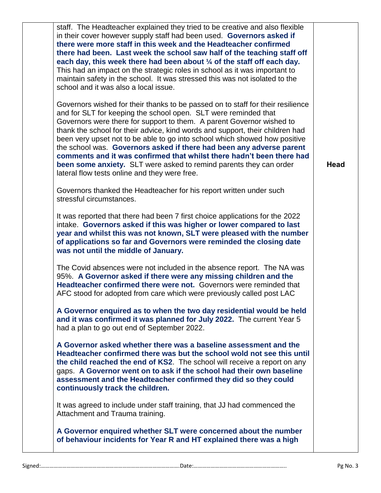| staff. The Headteacher explained they tried to be creative and also flexible<br>in their cover however supply staff had been used. Governors asked if<br>there were more staff in this week and the Headteacher confirmed<br>there had been. Last week the school saw half of the teaching staff off<br>each day, this week there had been about $\frac{1}{4}$ of the staff off each day.<br>This had an impact on the strategic roles in school as it was important to<br>maintain safety in the school. It was stressed this was not isolated to the<br>school and it was also a local issue.                                                                    |             |
|--------------------------------------------------------------------------------------------------------------------------------------------------------------------------------------------------------------------------------------------------------------------------------------------------------------------------------------------------------------------------------------------------------------------------------------------------------------------------------------------------------------------------------------------------------------------------------------------------------------------------------------------------------------------|-------------|
| Governors wished for their thanks to be passed on to staff for their resilience<br>and for SLT for keeping the school open. SLT were reminded that<br>Governors were there for support to them. A parent Governor wished to<br>thank the school for their advice, kind words and support, their children had<br>been very upset not to be able to go into school which showed how positive<br>the school was. Governors asked if there had been any adverse parent<br>comments and it was confirmed that whilst there hadn't been there had<br>been some anxiety. SLT were asked to remind parents they can order<br>lateral flow tests online and they were free. | <b>Head</b> |
| Governors thanked the Headteacher for his report written under such<br>stressful circumstances.                                                                                                                                                                                                                                                                                                                                                                                                                                                                                                                                                                    |             |
| It was reported that there had been 7 first choice applications for the 2022<br>intake. Governors asked if this was higher or lower compared to last<br>year and whilst this was not known, SLT were pleased with the number<br>of applications so far and Governors were reminded the closing date<br>was not until the middle of January.                                                                                                                                                                                                                                                                                                                        |             |
| The Covid absences were not included in the absence report. The NA was<br>95%. A Governor asked if there were any missing children and the<br>Headteacher confirmed there were not. Governors were reminded that<br>AFC stood for adopted from care which were previously called post LAC                                                                                                                                                                                                                                                                                                                                                                          |             |
| A Governor enquired as to when the two day residential would be held<br>and it was confirmed it was planned for July 2022. The current Year 5<br>had a plan to go out end of September 2022.                                                                                                                                                                                                                                                                                                                                                                                                                                                                       |             |
| A Governor asked whether there was a baseline assessment and the<br>Headteacher confirmed there was but the school wold not see this until<br>the child reached the end of KS2. The school will receive a report on any<br>gaps. A Governor went on to ask if the school had their own baseline<br>assessment and the Headteacher confirmed they did so they could<br>continuously track the children.                                                                                                                                                                                                                                                             |             |
| It was agreed to include under staff training, that JJ had commenced the<br>Attachment and Trauma training.                                                                                                                                                                                                                                                                                                                                                                                                                                                                                                                                                        |             |
| A Governor enquired whether SLT were concerned about the number<br>of behaviour incidents for Year R and HT explained there was a high                                                                                                                                                                                                                                                                                                                                                                                                                                                                                                                             |             |
|                                                                                                                                                                                                                                                                                                                                                                                                                                                                                                                                                                                                                                                                    |             |

Signed:…………………………………………………………………………………….Date:……………………………………………………….. Pg No. 3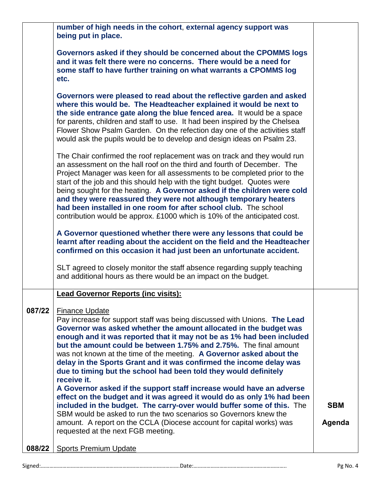|        | number of high needs in the cohort, external agency support was<br>being put in place.                                                                                                                                                                                                                                                                                                                                                                                                                                                                                                                                                                                                                                                                                                                                                                                                                                         |                      |
|--------|--------------------------------------------------------------------------------------------------------------------------------------------------------------------------------------------------------------------------------------------------------------------------------------------------------------------------------------------------------------------------------------------------------------------------------------------------------------------------------------------------------------------------------------------------------------------------------------------------------------------------------------------------------------------------------------------------------------------------------------------------------------------------------------------------------------------------------------------------------------------------------------------------------------------------------|----------------------|
|        | Governors asked if they should be concerned about the CPOMMS logs<br>and it was felt there were no concerns. There would be a need for<br>some staff to have further training on what warrants a CPOMMS log<br>etc.                                                                                                                                                                                                                                                                                                                                                                                                                                                                                                                                                                                                                                                                                                            |                      |
|        | Governors were pleased to read about the reflective garden and asked<br>where this would be. The Headteacher explained it would be next to<br>the side entrance gate along the blue fenced area. It would be a space<br>for parents, children and staff to use. It had been inspired by the Chelsea<br>Flower Show Psalm Garden. On the refection day one of the activities staff<br>would ask the pupils would be to develop and design ideas on Psalm 23.                                                                                                                                                                                                                                                                                                                                                                                                                                                                    |                      |
|        | The Chair confirmed the roof replacement was on track and they would run<br>an assessment on the hall roof on the third and fourth of December. The<br>Project Manager was keen for all assessments to be completed prior to the<br>start of the job and this should help with the tight budget. Quotes were<br>being sought for the heating. A Governor asked if the children were cold<br>and they were reassured they were not although temporary heaters<br>had been installed in one room for after school club. The school<br>contribution would be approx. £1000 which is 10% of the anticipated cost.                                                                                                                                                                                                                                                                                                                  |                      |
|        | A Governor questioned whether there were any lessons that could be<br>learnt after reading about the accident on the field and the Headteacher<br>confirmed on this occasion it had just been an unfortunate accident.                                                                                                                                                                                                                                                                                                                                                                                                                                                                                                                                                                                                                                                                                                         |                      |
|        | SLT agreed to closely monitor the staff absence regarding supply teaching<br>and additional hours as there would be an impact on the budget.                                                                                                                                                                                                                                                                                                                                                                                                                                                                                                                                                                                                                                                                                                                                                                                   |                      |
|        | <b>Lead Governor Reports (inc visits):</b>                                                                                                                                                                                                                                                                                                                                                                                                                                                                                                                                                                                                                                                                                                                                                                                                                                                                                     |                      |
| 087/22 | <b>Finance Update</b><br>Pay increase for support staff was being discussed with Unions. The Lead<br>Governor was asked whether the amount allocated in the budget was<br>enough and it was reported that it may not be as 1% had been included<br>but the amount could be between 1.75% and 2.75%. The final amount<br>was not known at the time of the meeting. A Governor asked about the<br>delay in the Sports Grant and it was confirmed the income delay was<br>due to timing but the school had been told they would definitely<br>receive it.<br>A Governor asked if the support staff increase would have an adverse<br>effect on the budget and it was agreed it would do as only 1% had been<br>included in the budget. The carry-over would buffer some of this. The<br>SBM would be asked to run the two scenarios so Governors knew the<br>amount. A report on the CCLA (Diocese account for capital works) was | <b>SBM</b><br>Agenda |
|        | requested at the next FGB meeting.                                                                                                                                                                                                                                                                                                                                                                                                                                                                                                                                                                                                                                                                                                                                                                                                                                                                                             |                      |
| 088/22 | <b>Sports Premium Update</b>                                                                                                                                                                                                                                                                                                                                                                                                                                                                                                                                                                                                                                                                                                                                                                                                                                                                                                   |                      |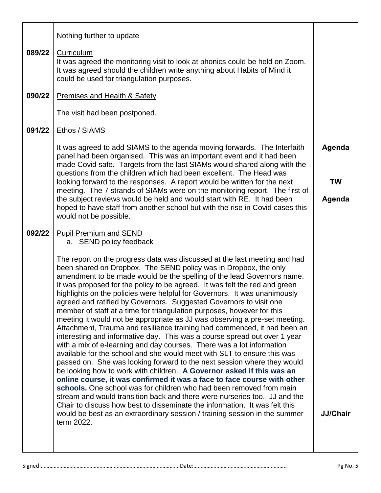|        | Nothing further to update                                                                                                                                                                                                                                                                                                                                                                                                                                                                                                                                                                                                                                                                                                                                                                                                                                                                                                                                                                                                                                                                                                                                                                                                                                                                                                                                                                      |                               |
|--------|------------------------------------------------------------------------------------------------------------------------------------------------------------------------------------------------------------------------------------------------------------------------------------------------------------------------------------------------------------------------------------------------------------------------------------------------------------------------------------------------------------------------------------------------------------------------------------------------------------------------------------------------------------------------------------------------------------------------------------------------------------------------------------------------------------------------------------------------------------------------------------------------------------------------------------------------------------------------------------------------------------------------------------------------------------------------------------------------------------------------------------------------------------------------------------------------------------------------------------------------------------------------------------------------------------------------------------------------------------------------------------------------|-------------------------------|
| 089/22 | Curriculum<br>It was agreed the monitoring visit to look at phonics could be held on Zoom.<br>It was agreed should the children write anything about Habits of Mind it<br>could be used for triangulation purposes.                                                                                                                                                                                                                                                                                                                                                                                                                                                                                                                                                                                                                                                                                                                                                                                                                                                                                                                                                                                                                                                                                                                                                                            |                               |
| 090/22 | Premises and Health & Safety                                                                                                                                                                                                                                                                                                                                                                                                                                                                                                                                                                                                                                                                                                                                                                                                                                                                                                                                                                                                                                                                                                                                                                                                                                                                                                                                                                   |                               |
|        | The visit had been postponed.                                                                                                                                                                                                                                                                                                                                                                                                                                                                                                                                                                                                                                                                                                                                                                                                                                                                                                                                                                                                                                                                                                                                                                                                                                                                                                                                                                  |                               |
| 091/22 | <b>Ethos / SIAMS</b>                                                                                                                                                                                                                                                                                                                                                                                                                                                                                                                                                                                                                                                                                                                                                                                                                                                                                                                                                                                                                                                                                                                                                                                                                                                                                                                                                                           |                               |
|        | It was agreed to add SIAMS to the agenda moving forwards. The Interfaith<br>panel had been organised. This was an important event and it had been<br>made Covid safe. Targets from the last SIAMs would shared along with the<br>questions from the children which had been excellent. The Head was<br>looking forward to the responses. A report would be written for the next<br>meeting. The 7 strands of SIAMs were on the monitoring report. The first of<br>the subject reviews would be held and would start with RE. It had been<br>hoped to have staff from another school but with the rise in Covid cases this<br>would not be possible.                                                                                                                                                                                                                                                                                                                                                                                                                                                                                                                                                                                                                                                                                                                                            | Agenda<br><b>TW</b><br>Agenda |
| 092/22 | <b>Pupil Premium and SEND</b><br>a. SEND policy feedback                                                                                                                                                                                                                                                                                                                                                                                                                                                                                                                                                                                                                                                                                                                                                                                                                                                                                                                                                                                                                                                                                                                                                                                                                                                                                                                                       |                               |
|        | The report on the progress data was discussed at the last meeting and had<br>been shared on Dropbox. The SEND policy was in Dropbox, the only<br>amendment to be made would be the spelling of the lead Governors name.<br>It was proposed for the policy to be agreed. It was felt the red and green<br>highlights on the policies were helpful for Governors. It was unanimously<br>agreed and ratified by Governors. Suggested Governors to visit one<br>member of staff at a time for triangulation purposes, however for this<br>meeting it would not be appropriate as JJ was observing a pre-set meeting.<br>Attachment, Trauma and resilience training had commenced, it had been an<br>interesting and informative day. This was a course spread out over 1 year<br>with a mix of e-learning and day courses. There was a lot information<br>available for the school and she would meet with SLT to ensure this was<br>passed on. She was looking forward to the next session where they would<br>be looking how to work with children. A Governor asked if this was an<br>online course, it was confirmed it was a face to face course with other<br>schools. One school was for children who had been removed from main<br>stream and would transition back and there were nurseries too. JJ and the<br>Chair to discuss how best to disseminate the information. It was felt this |                               |
|        | would be best as an extraordinary session / training session in the summer<br>term 2022.                                                                                                                                                                                                                                                                                                                                                                                                                                                                                                                                                                                                                                                                                                                                                                                                                                                                                                                                                                                                                                                                                                                                                                                                                                                                                                       | <b>JJ/Chair</b>               |
|        |                                                                                                                                                                                                                                                                                                                                                                                                                                                                                                                                                                                                                                                                                                                                                                                                                                                                                                                                                                                                                                                                                                                                                                                                                                                                                                                                                                                                |                               |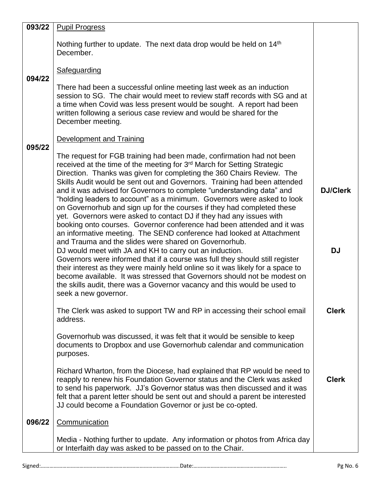| 093/22 | <b>Pupil Progress</b>                                                                                                                                                                                                                                                                                                                                                                                                                                                                                                                                                                                                                                                                                                                                                                                                                                                                                                                                                                                                                                                                                                                                                                                                                          |                              |
|--------|------------------------------------------------------------------------------------------------------------------------------------------------------------------------------------------------------------------------------------------------------------------------------------------------------------------------------------------------------------------------------------------------------------------------------------------------------------------------------------------------------------------------------------------------------------------------------------------------------------------------------------------------------------------------------------------------------------------------------------------------------------------------------------------------------------------------------------------------------------------------------------------------------------------------------------------------------------------------------------------------------------------------------------------------------------------------------------------------------------------------------------------------------------------------------------------------------------------------------------------------|------------------------------|
|        | Nothing further to update. The next data drop would be held on 14 <sup>th</sup><br>December.                                                                                                                                                                                                                                                                                                                                                                                                                                                                                                                                                                                                                                                                                                                                                                                                                                                                                                                                                                                                                                                                                                                                                   |                              |
| 094/22 | Safeguarding                                                                                                                                                                                                                                                                                                                                                                                                                                                                                                                                                                                                                                                                                                                                                                                                                                                                                                                                                                                                                                                                                                                                                                                                                                   |                              |
|        | There had been a successful online meeting last week as an induction<br>session to SG. The chair would meet to review staff records with SG and at<br>a time when Covid was less present would be sought. A report had been<br>written following a serious case review and would be shared for the<br>December meeting.                                                                                                                                                                                                                                                                                                                                                                                                                                                                                                                                                                                                                                                                                                                                                                                                                                                                                                                        |                              |
| 095/22 | <b>Development and Training</b>                                                                                                                                                                                                                                                                                                                                                                                                                                                                                                                                                                                                                                                                                                                                                                                                                                                                                                                                                                                                                                                                                                                                                                                                                |                              |
|        | The request for FGB training had been made, confirmation had not been<br>received at the time of the meeting for 3 <sup>rd</sup> March for Setting Strategic<br>Direction. Thanks was given for completing the 360 Chairs Review. The<br>Skills Audit would be sent out and Governors. Training had been attended<br>and it was advised for Governors to complete "understanding data" and<br>"holding leaders to account" as a minimum. Governors were asked to look<br>on Governorhub and sign up for the courses if they had completed these<br>yet. Governors were asked to contact DJ if they had any issues with<br>booking onto courses. Governor conference had been attended and it was<br>an informative meeting. The SEND conference had looked at Attachment<br>and Trauma and the slides were shared on Governorhub.<br>DJ would meet with JA and KH to carry out an induction.<br>Governors were informed that if a course was full they should still register<br>their interest as they were mainly held online so it was likely for a space to<br>become available. It was stressed that Governors should not be modest on<br>the skills audit, there was a Governor vacancy and this would be used to<br>seek a new governor. | <b>DJ/Clerk</b><br><b>DJ</b> |
|        | The Clerk was asked to support TW and RP in accessing their school email<br>address.                                                                                                                                                                                                                                                                                                                                                                                                                                                                                                                                                                                                                                                                                                                                                                                                                                                                                                                                                                                                                                                                                                                                                           | <b>Clerk</b>                 |
|        | Governorhub was discussed, it was felt that it would be sensible to keep<br>documents to Dropbox and use Governorhub calendar and communication<br>purposes.                                                                                                                                                                                                                                                                                                                                                                                                                                                                                                                                                                                                                                                                                                                                                                                                                                                                                                                                                                                                                                                                                   |                              |
|        | Richard Wharton, from the Diocese, had explained that RP would be need to<br>reapply to renew his Foundation Governor status and the Clerk was asked<br>to send his paperwork. JJ's Governor status was then discussed and it was<br>felt that a parent letter should be sent out and should a parent be interested<br>JJ could become a Foundation Governor or just be co-opted.                                                                                                                                                                                                                                                                                                                                                                                                                                                                                                                                                                                                                                                                                                                                                                                                                                                              | <b>Clerk</b>                 |
| 096/22 | Communication                                                                                                                                                                                                                                                                                                                                                                                                                                                                                                                                                                                                                                                                                                                                                                                                                                                                                                                                                                                                                                                                                                                                                                                                                                  |                              |
|        | Media - Nothing further to update. Any information or photos from Africa day<br>or Interfaith day was asked to be passed on to the Chair.                                                                                                                                                                                                                                                                                                                                                                                                                                                                                                                                                                                                                                                                                                                                                                                                                                                                                                                                                                                                                                                                                                      |                              |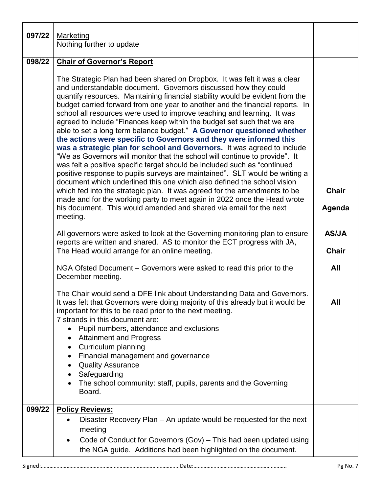| 097/22 | Marketing<br>Nothing further to update                                                                                                                                                                                                                                                                                                                                                                                                                                                                                                                                                                                                                                                                                                                                                                                                                                                                                                                                                                                                                                                                                                                                                                                                                           |                        |
|--------|------------------------------------------------------------------------------------------------------------------------------------------------------------------------------------------------------------------------------------------------------------------------------------------------------------------------------------------------------------------------------------------------------------------------------------------------------------------------------------------------------------------------------------------------------------------------------------------------------------------------------------------------------------------------------------------------------------------------------------------------------------------------------------------------------------------------------------------------------------------------------------------------------------------------------------------------------------------------------------------------------------------------------------------------------------------------------------------------------------------------------------------------------------------------------------------------------------------------------------------------------------------|------------------------|
| 098/22 | <b>Chair of Governor's Report</b>                                                                                                                                                                                                                                                                                                                                                                                                                                                                                                                                                                                                                                                                                                                                                                                                                                                                                                                                                                                                                                                                                                                                                                                                                                |                        |
|        | The Strategic Plan had been shared on Dropbox. It was felt it was a clear<br>and understandable document. Governors discussed how they could<br>quantify resources. Maintaining financial stability would be evident from the<br>budget carried forward from one year to another and the financial reports. In<br>school all resources were used to improve teaching and learning. It was<br>agreed to include "Finances keep within the budget set such that we are<br>able to set a long term balance budget." A Governor questioned whether<br>the actions were specific to Governors and they were informed this<br>was a strategic plan for school and Governors. It was agreed to include<br>"We as Governors will monitor that the school will continue to provide". It<br>was felt a positive specific target should be included such as "continued<br>positive response to pupils surveys are maintained". SLT would be writing a<br>document which underlined this one which also defined the school vision<br>which fed into the strategic plan. It was agreed for the amendments to be<br>made and for the working party to meet again in 2022 once the Head wrote<br>his document. This would amended and shared via email for the next<br>meeting. | <b>Chair</b><br>Agenda |
|        | All governors were asked to look at the Governing monitoring plan to ensure                                                                                                                                                                                                                                                                                                                                                                                                                                                                                                                                                                                                                                                                                                                                                                                                                                                                                                                                                                                                                                                                                                                                                                                      | <b>AS/JA</b>           |
|        | reports are written and shared. AS to monitor the ECT progress with JA,<br>The Head would arrange for an online meeting.                                                                                                                                                                                                                                                                                                                                                                                                                                                                                                                                                                                                                                                                                                                                                                                                                                                                                                                                                                                                                                                                                                                                         | <b>Chair</b>           |
|        | NGA Ofsted Document – Governors were asked to read this prior to the<br>December meeting.                                                                                                                                                                                                                                                                                                                                                                                                                                                                                                                                                                                                                                                                                                                                                                                                                                                                                                                                                                                                                                                                                                                                                                        | All                    |
|        | The Chair would send a DFE link about Understanding Data and Governors.<br>It was felt that Governors were doing majority of this already but it would be<br>important for this to be read prior to the next meeting.<br>7 strands in this document are:<br>Pupil numbers, attendance and exclusions<br>$\bullet$<br><b>Attainment and Progress</b>                                                                                                                                                                                                                                                                                                                                                                                                                                                                                                                                                                                                                                                                                                                                                                                                                                                                                                              | All                    |
|        | Curriculum planning                                                                                                                                                                                                                                                                                                                                                                                                                                                                                                                                                                                                                                                                                                                                                                                                                                                                                                                                                                                                                                                                                                                                                                                                                                              |                        |
|        | Financial management and governance                                                                                                                                                                                                                                                                                                                                                                                                                                                                                                                                                                                                                                                                                                                                                                                                                                                                                                                                                                                                                                                                                                                                                                                                                              |                        |
|        | <b>Quality Assurance</b><br>Safeguarding                                                                                                                                                                                                                                                                                                                                                                                                                                                                                                                                                                                                                                                                                                                                                                                                                                                                                                                                                                                                                                                                                                                                                                                                                         |                        |
|        | The school community: staff, pupils, parents and the Governing<br>Board.                                                                                                                                                                                                                                                                                                                                                                                                                                                                                                                                                                                                                                                                                                                                                                                                                                                                                                                                                                                                                                                                                                                                                                                         |                        |
| 099/22 | <b>Policy Reviews:</b>                                                                                                                                                                                                                                                                                                                                                                                                                                                                                                                                                                                                                                                                                                                                                                                                                                                                                                                                                                                                                                                                                                                                                                                                                                           |                        |
|        | Disaster Recovery Plan – An update would be requested for the next<br>meeting                                                                                                                                                                                                                                                                                                                                                                                                                                                                                                                                                                                                                                                                                                                                                                                                                                                                                                                                                                                                                                                                                                                                                                                    |                        |
|        | Code of Conduct for Governors (Gov) – This had been updated using<br>$\bullet$<br>the NGA guide. Additions had been highlighted on the document.                                                                                                                                                                                                                                                                                                                                                                                                                                                                                                                                                                                                                                                                                                                                                                                                                                                                                                                                                                                                                                                                                                                 |                        |
|        |                                                                                                                                                                                                                                                                                                                                                                                                                                                                                                                                                                                                                                                                                                                                                                                                                                                                                                                                                                                                                                                                                                                                                                                                                                                                  | Pg No. 7               |